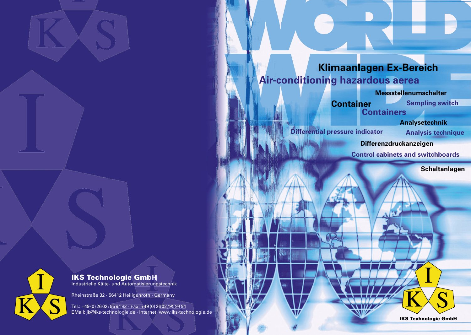

# **Klimaanlagen Ex-Bereich<br>Air-conditioning hazardous aerea<br>Messstellenumschalter<br>Container Sampling switch<br>Containers<br>Analysetechnik Air-conditioning hazardous aerea**

**Container Containers**

**Messstellenumschalter**

**Sampling switch**

**Differenzdruckanzeigen**

### IKS Technologie GmbH  $\mathbf{e}$ GmbH<br>matisierungstechni

**Differential pressure indicator**



**Analysetechnik**

Tel.: +49 (0) 26 02 / 95 94 92 · Fax: +49 (0) 26 02 / 95 94 91 +4 95 0 Rheinstraße 32 · 56412 Heiligenroth · Germany<br>Tel.: +49 (0) 26 02/95 9492 · Fax: +49 (0) 26 02/95 9491<br>EMail: jk@iks-technologie.de · Internet: www.iks-technologie.de **Analysis technique**

**Control cabinets and switchboards**



Industrielle Kälte- und Automatisierungstechnik un

Rheinstraße 32 · 56412 Heiligenroth · Germany